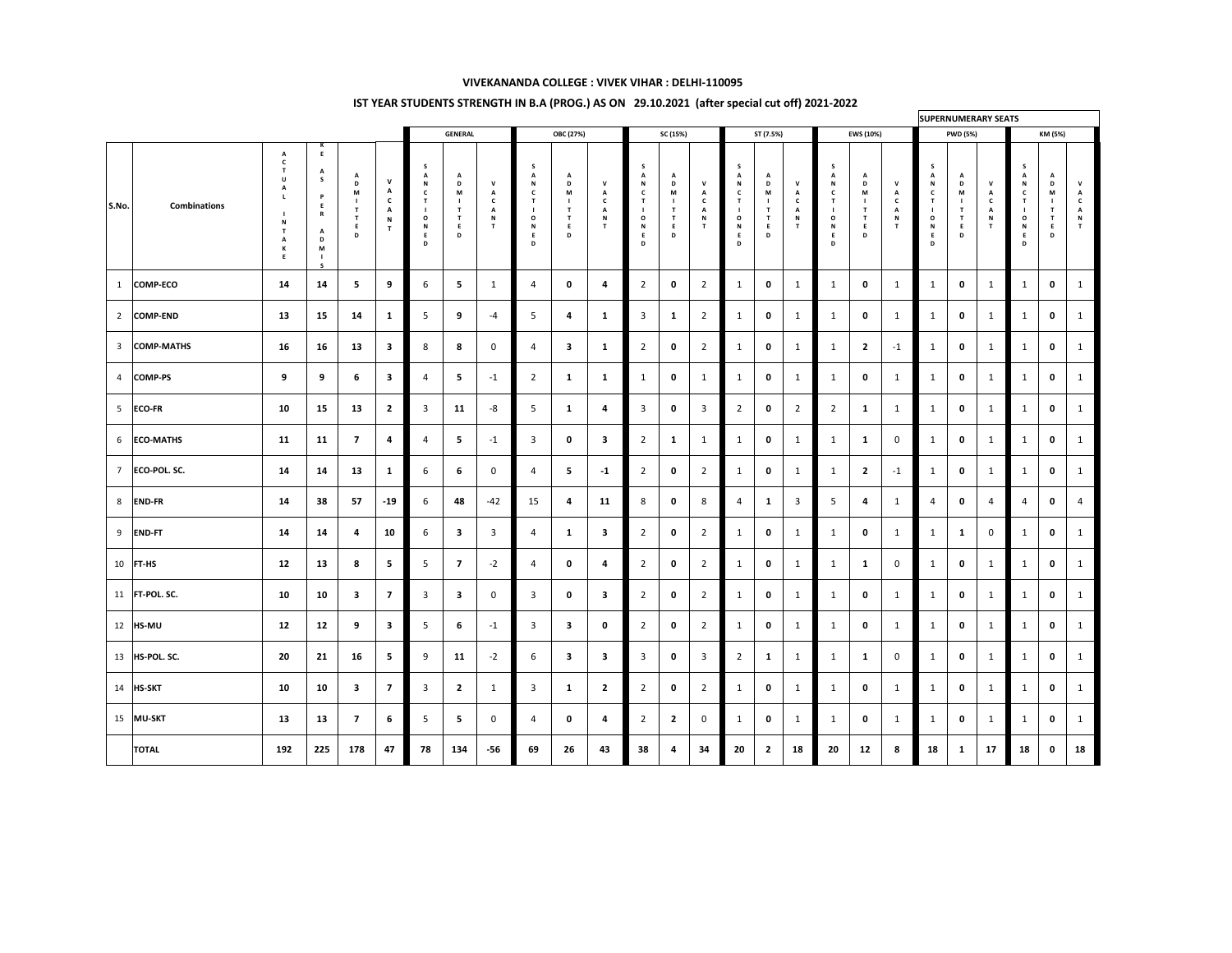## **VIVEKANANDA COLLEGE : VIVEK VIHAR : DELHI-110095**

|                       |                     |           |           |                         |                          | <b>GENERAL</b> |                             |                          | <b>OBC (27%)</b> |                   |                   | SC (15%)                 |                               |                          | ST (7.5%)    |                                         |                        | <b>EWS (10%)</b> |                           |                           | <b>PWD (5%)</b> |                                         |                                               | KM (5%)        |                            |  |
|-----------------------|---------------------|-----------|-----------|-------------------------|--------------------------|----------------|-----------------------------|--------------------------|------------------|-------------------|-------------------|--------------------------|-------------------------------|--------------------------|--------------|-----------------------------------------|------------------------|------------------|---------------------------|---------------------------|-----------------|-----------------------------------------|-----------------------------------------------|----------------|----------------------------|--|
| $\vert$ S.No. $\vert$ | <b>Combinations</b> | n.        | M         | M                       | $\mathbf{A}$<br>N        |                | $\mathbf{r}$<br>D<br>M<br>D |                          |                  | $\mathbf{A}$<br>M | n<br><b>N</b>     | $\mathbf O$<br>- IV<br>D | $\overline{\phantom{a}}$<br>M | $\overline{\phantom{a}}$ |              | $\overline{\phantom{a}}$<br>D<br>M<br>D | $\mathbf{\mathcal{L}}$ | $\bf{O}$         | $\sqrt{ }$<br>D<br>M<br>D | $\mathbf{v}$<br><b>IV</b> |                 | $\overline{\phantom{a}}$<br>D<br>M<br>D | $\overline{\phantom{a}}$<br>$\mathbf{A}$<br>N |                | $\mathbf{\mathsf{m}}$<br>M |  |
|                       | <b>COMP-ECO</b>     | 14        | 14        |                         | <b>g</b>                 |                | 5                           |                          |                  |                   | 4                 |                          | $\boldsymbol{0}$              |                          |              | $\boldsymbol{0}$                        |                        |                  | $\mathbf 0$               |                           |                 | $\mathbf 0$                             |                                               |                | $\bf{0}$                   |  |
|                       | <b>COMP-END</b>     | 13        | <b>15</b> | 14                      |                          |                | 9                           | -4                       |                  |                   |                   | $\overline{3}$           |                               |                          |              | $\boldsymbol{0}$                        |                        |                  | $\mathbf 0$               |                           |                 | $\mathbf 0$                             |                                               |                | $\mathbf 0$                |  |
|                       | <b>COMP-MATHS</b>   | <b>16</b> | <b>16</b> | 13                      | $\bullet$<br>-5          |                | 8                           |                          |                  |                   |                   | $\bigcap$                | $\boldsymbol{0}$              |                          |              | $\boldsymbol{0}$                        |                        |                  |                           | $-1$                      |                 | $\mathbf 0$                             |                                               |                | $\bf{0}$                   |  |
|                       | <b>COMP-PS</b>      | 9         | $\Omega$  |                         |                          |                | 5                           | $\overline{\phantom{a}}$ |                  |                   |                   |                          | $\boldsymbol{0}$              |                          |              | $\mathbf 0$                             |                        |                  | $\mathbf 0$               |                           |                 | $\mathbf 0$                             |                                               |                | $\bf{0}$                   |  |
|                       | $ ECO-FR$           | <b>10</b> | 15        | 13                      | $\epsilon$               |                | <b>11</b>                   | -8                       |                  |                   |                   | $\overline{3}$           | $\bf{0}$                      |                          |              | $\mathbf 0$                             |                        |                  |                           |                           |                 | $\mathbf 0$                             |                                               |                | $\bf{0}$                   |  |
|                       | 6 ECO-MATHS         | 11        | 11        |                         | 4                        |                | $\overline{\mathbf{5}}$     | $-1$                     |                  |                   |                   | $\bigcap$                | ظله                           |                          |              | $\boldsymbol{0}$                        |                        |                  |                           | $\overline{0}$            |                 | $\mathbf 0$                             |                                               |                | $\mathbf 0$                |  |
|                       | <b>ECO-POL. SC.</b> | 14        | 14        | 13                      |                          | h              | 6                           |                          |                  |                   | $-1$              | $\bigcap$                | $\boldsymbol{0}$              | $\bigcap$                |              | $\mathbf 0$                             |                        |                  |                           | $-1$                      |                 | $\mathbf 0$                             |                                               |                | $\mathbf 0$                |  |
|                       | 8 END-FR            | 14        | 38        | 57                      | $-19$                    | $\mathbf b$    | 48                          | $-42$                    | 15               |                   | 11                | 8                        | $\boldsymbol{0}$              | 8                        |              |                                         |                        |                  |                           |                           |                 | $\mathbf 0$                             | $\overline{4}$                                | $\overline{4}$ | $\mathbf 0$                |  |
|                       | <b>END-FT</b>       | 14        | 14        | $\overline{\mathbf{4}}$ | <b>10</b>                | b.             | $\overline{\mathbf{3}}$     |                          |                  |                   |                   | $\bigcap$                | $\boldsymbol{0}$              | $\bigcap$                |              | $\mathbf 0$                             |                        |                  | $\mathbf 0$               |                           |                 | $\blacksquare$<br>$\mathbf{L}$          | $\overline{0}$                                |                | $\mathbf 0$                |  |
|                       | $10$ FT-HS          | 12        | 13        | 8                       | <b>D</b>                 |                |                             | $-L$                     |                  |                   | $\overline{a}$    | $\bigcap$                | $\boldsymbol{0}$              |                          |              | $\boldsymbol{0}$                        |                        |                  |                           | $\overline{O}$            |                 | $\mathbf 0$                             |                                               |                | $\mathbf 0$                |  |
|                       | $11$  FT-POL. SC.   | 10        | <b>10</b> | $\overline{\mathbf{3}}$ |                          |                | $\mathbf{3}$                |                          |                  | $\boldsymbol{0}$  | 3                 | $2\overline{ }$          | $\bf{0}$                      | $\overline{2}$           | $\mathbf{L}$ | $\mathbf 0$                             |                        |                  | $\mathbf 0$               |                           |                 | $\mathbf 0$                             |                                               |                | $\mathbf 0$                |  |
|                       | $12$ <b>HS-MU</b>   | 12        | 12        | 9                       | $\overline{\mathbf{3}}$  |                | 6                           | $-1$                     |                  | -3                | $\mathbf 0$       | $\overline{\phantom{a}}$ | $\mathbf 0$                   | $\bigcirc$               |              | $\mathbf 0$                             |                        |                  | $\mathbf 0$               |                           |                 | $\mathbf 0$                             |                                               |                | $\mathbf 0$                |  |
|                       | $13$  HS-POL. SC.   | 20        | 21        | <b>16</b>               | C.                       |                | 11                          | $-2$                     |                  |                   | 3                 | $\overline{3}$           | $\mathbf 0$                   | $\overline{3}$           |              |                                         |                        |                  | $\mathbf{1}$              | $\overline{0}$            |                 | $\mathbf 0$                             |                                               |                | $\mathbf 0$                |  |
|                       | $14$ HS-SKT         | 10        | <b>10</b> | $\overline{\mathbf{3}}$ | $\overline{\phantom{a}}$ | $\bigcap$      | $\overline{2}$              |                          |                  |                   | $\mathbf{\Omega}$ | $\bigcap$                | $\mathbf 0$                   | $\overline{2}$           |              | $\mathbf 0$                             |                        |                  | $\mathbf 0$               |                           |                 | $\mathbf 0$                             |                                               |                | $\mathbf 0$                |  |
|                       | $15$ MU-SKT         | 13        | 13        | $\overline{\mathbf{z}}$ | $\bullet$                |                | 5                           |                          |                  | $\mathbf 0$       | $\mathbf 4$       | $\bigcap$                | $\overline{2}$                |                          |              | $\mathbf 0$                             |                        |                  | $\mathbf 0$               |                           |                 | $\mathbf 0$                             |                                               |                | $\mathbf 0$                |  |
|                       | <b>TOTAL</b>        |           |           |                         |                          |                |                             |                          |                  |                   |                   |                          |                               |                          |              |                                         |                        |                  |                           |                           |                 |                                         |                                               |                |                            |  |

### **IST YEAR STUDENTS STRENGTH IN B.A (PROG.) AS ON 29.10.2021 (after special cut off) 2021-2022**

#### **SUPERNUMERARY SEATS**